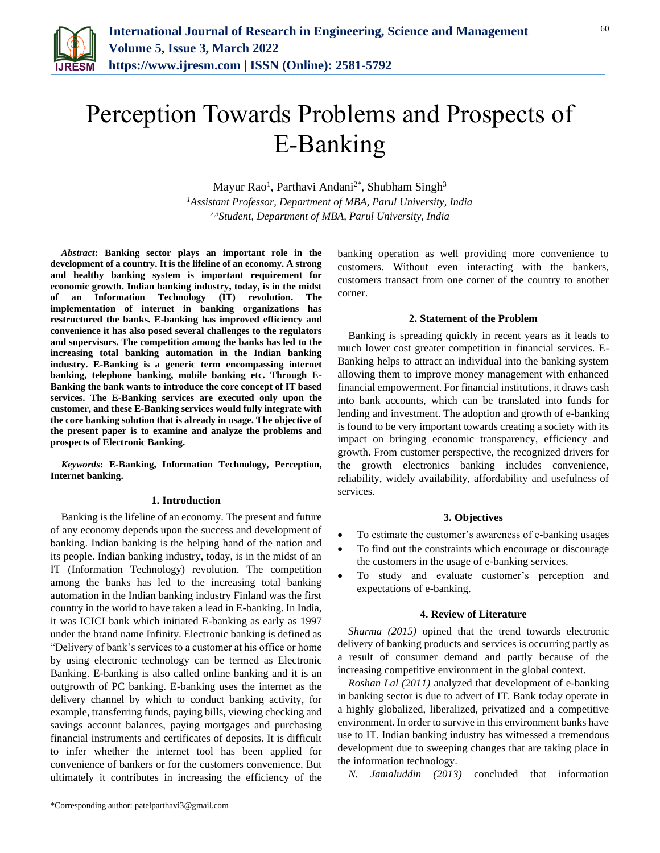

# Perception Towards Problems and Prospects of E-Banking

Mayur Rao<sup>1</sup>, Parthavi Andani<sup>2\*</sup>, Shubham Singh<sup>3</sup>

*<sup>1</sup>Assistant Professor, Department of MBA, Parul University, India 2,3Student, Department of MBA, Parul University, India*

*Abstract***: Banking sector plays an important role in the development of a country. It is the lifeline of an economy. A strong and healthy banking system is important requirement for economic growth. Indian banking industry, today, is in the midst of an Information Technology (IT) revolution. The implementation of internet in banking organizations has restructured the banks. E-banking has improved efficiency and convenience it has also posed several challenges to the regulators and supervisors. The competition among the banks has led to the increasing total banking automation in the Indian banking industry. E-Banking is a generic term encompassing internet banking, telephone banking, mobile banking etc. Through E-Banking the bank wants to introduce the core concept of IT based services. The E-Banking services are executed only upon the customer, and these E-Banking services would fully integrate with the core banking solution that is already in usage. The objective of the present paper is to examine and analyze the problems and prospects of Electronic Banking.**

*Keywords***: E-Banking, Information Technology, Perception, Internet banking.**

#### **1. Introduction**

Banking is the lifeline of an economy. The present and future of any economy depends upon the success and development of banking. Indian banking is the helping hand of the nation and its people. Indian banking industry, today, is in the midst of an IT (Information Technology) revolution. The competition among the banks has led to the increasing total banking automation in the Indian banking industry Finland was the first country in the world to have taken a lead in E-banking. In India, it was ICICI bank which initiated E-banking as early as 1997 under the brand name Infinity. Electronic banking is defined as "Delivery of bank's services to a customer at his office or home by using electronic technology can be termed as Electronic Banking. E-banking is also called online banking and it is an outgrowth of PC banking. E-banking uses the internet as the delivery channel by which to conduct banking activity, for example, transferring funds, paying bills, viewing checking and savings account balances, paying mortgages and purchasing financial instruments and certificates of deposits. It is difficult to infer whether the internet tool has been applied for convenience of bankers or for the customers convenience. But ultimately it contributes in increasing the efficiency of the banking operation as well providing more convenience to customers. Without even interacting with the bankers, customers transact from one corner of the country to another corner.

## **2. Statement of the Problem**

Banking is spreading quickly in recent years as it leads to much lower cost greater competition in financial services. E-Banking helps to attract an individual into the banking system allowing them to improve money management with enhanced financial empowerment. For financial institutions, it draws cash into bank accounts, which can be translated into funds for lending and investment. The adoption and growth of e-banking is found to be very important towards creating a society with its impact on bringing economic transparency, efficiency and growth. From customer perspective, the recognized drivers for the growth electronics banking includes convenience, reliability, widely availability, affordability and usefulness of services.

#### **3. Objectives**

- To estimate the customer's awareness of e-banking usages
- To find out the constraints which encourage or discourage the customers in the usage of e-banking services.
- To study and evaluate customer's perception and expectations of e-banking.

#### **4. Review of Literature**

*Sharma (2015)* opined that the trend towards electronic delivery of banking products and services is occurring partly as a result of consumer demand and partly because of the increasing competitive environment in the global context.

*Roshan Lal (2011)* analyzed that development of e-banking in banking sector is due to advert of IT. Bank today operate in a highly globalized, liberalized, privatized and a competitive environment. In order to survive in this environment banks have use to IT. Indian banking industry has witnessed a tremendous development due to sweeping changes that are taking place in the information technology.

*N. Jamaluddin (2013)* concluded that information

<sup>\*</sup>Corresponding author: patelparthavi3@gmail.com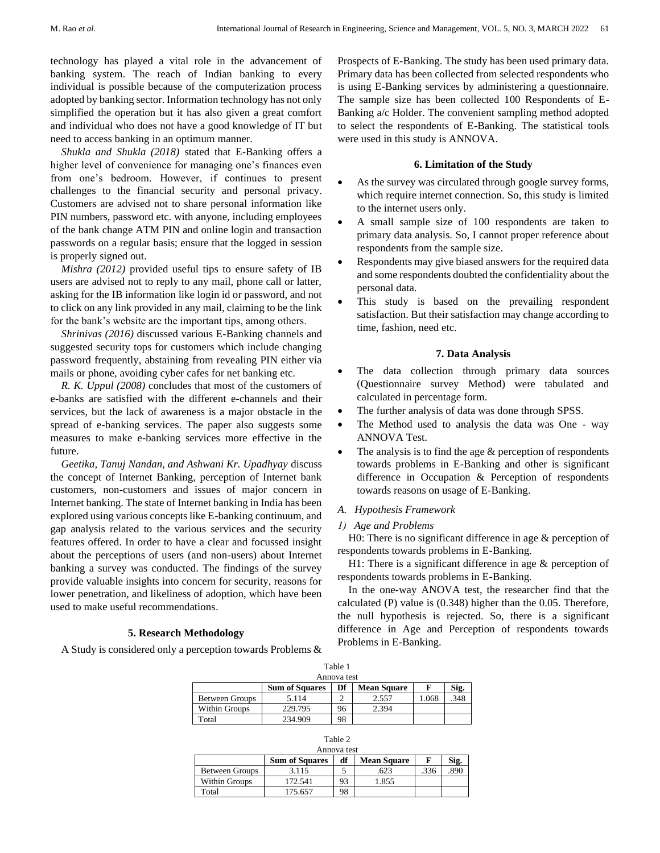technology has played a vital role in the advancement of banking system. The reach of Indian banking to every individual is possible because of the computerization process adopted by banking sector. Information technology has not only simplified the operation but it has also given a great comfort and individual who does not have a good knowledge of IT but need to access banking in an optimum manner.

*Shukla and Shukla (2018)* stated that E-Banking offers a higher level of convenience for managing one's finances even from one's bedroom. However, if continues to present challenges to the financial security and personal privacy. Customers are advised not to share personal information like PIN numbers, password etc. with anyone, including employees of the bank change ATM PIN and online login and transaction passwords on a regular basis; ensure that the logged in session is properly signed out.

*Mishra (2012)* provided useful tips to ensure safety of IB users are advised not to reply to any mail, phone call or latter, asking for the IB information like login id or password, and not to click on any link provided in any mail, claiming to be the link for the bank's website are the important tips, among others.

*Shrinivas (2016)* discussed various E-Banking channels and suggested security tops for customers which include changing password frequently, abstaining from revealing PIN either via mails or phone, avoiding cyber cafes for net banking etc.

*R. K. Uppul (2008)* concludes that most of the customers of e-banks are satisfied with the different e-channels and their services, but the lack of awareness is a major obstacle in the spread of e-banking services. The paper also suggests some measures to make e-banking services more effective in the future.

*Geetika, Tanuj Nandan, and Ashwani Kr. Upadhyay* discuss the concept of Internet Banking, perception of Internet bank customers, non-customers and issues of major concern in Internet banking. The state of Internet banking in India has been explored using various concepts like E-banking continuum, and gap analysis related to the various services and the security features offered. In order to have a clear and focussed insight about the perceptions of users (and non-users) about Internet banking a survey was conducted. The findings of the survey provide valuable insights into concern for security, reasons for lower penetration, and likeliness of adoption, which have been used to make useful recommendations.

## **5. Research Methodology**

A Study is considered only a perception towards Problems &

Prospects of E-Banking. The study has been used primary data. Primary data has been collected from selected respondents who is using E-Banking services by administering a questionnaire. The sample size has been collected 100 Respondents of E-Banking a/c Holder. The convenient sampling method adopted to select the respondents of E-Banking. The statistical tools were used in this study is ANNOVA.

## **6. Limitation of the Study**

- As the survey was circulated through google survey forms, which require internet connection. So, this study is limited to the internet users only.
- A small sample size of 100 respondents are taken to primary data analysis. So, I cannot proper reference about respondents from the sample size.
- Respondents may give biased answers for the required data and some respondents doubted the confidentiality about the personal data.
- This study is based on the prevailing respondent satisfaction. But their satisfaction may change according to time, fashion, need etc.

## **7. Data Analysis**

- The data collection through primary data sources (Questionnaire survey Method) were tabulated and calculated in percentage form.
- The further analysis of data was done through SPSS.
- The Method used to analysis the data was One way ANNOVA Test.
- The analysis is to find the age  $&$  perception of respondents towards problems in E-Banking and other is significant difference in Occupation & Perception of respondents towards reasons on usage of E-Banking.

## *A. Hypothesis Framework*

## *1) Age and Problems*

H0: There is no significant difference in age & perception of respondents towards problems in E-Banking.

H1: There is a significant difference in age & perception of respondents towards problems in E-Banking.

In the one-way ANOVA test, the researcher find that the calculated (P) value is (0.348) higher than the 0.05. Therefore, the null hypothesis is rejected. So, there is a significant difference in Age and Perception of respondents towards Problems in E-Banking.

| Table 1              |                       |    |                    |       |      |  |  |  |  |
|----------------------|-----------------------|----|--------------------|-------|------|--|--|--|--|
| Annova test          |                       |    |                    |       |      |  |  |  |  |
|                      | <b>Sum of Squares</b> | Df | <b>Mean Square</b> |       | Sig. |  |  |  |  |
| Between Groups       | 5.114                 |    | 2.557              | 1.068 | .348 |  |  |  |  |
| <b>Within Groups</b> | 229.795               | 96 | 2.394              |       |      |  |  |  |  |
| Total                | 234.909               | 98 |                    |       |      |  |  |  |  |

| Table |  |
|-------|--|
| .     |  |

| Annova test           |                       |    |                    |      |      |  |  |
|-----------------------|-----------------------|----|--------------------|------|------|--|--|
|                       | <b>Sum of Squares</b> | df | <b>Mean Square</b> |      | Sig. |  |  |
| <b>Between Groups</b> | 3.115                 |    | .623               | .336 | .890 |  |  |
| <b>Within Groups</b>  | 172.541               | 93 | 1.855              |      |      |  |  |
| Total                 | 175.657               | 98 |                    |      |      |  |  |